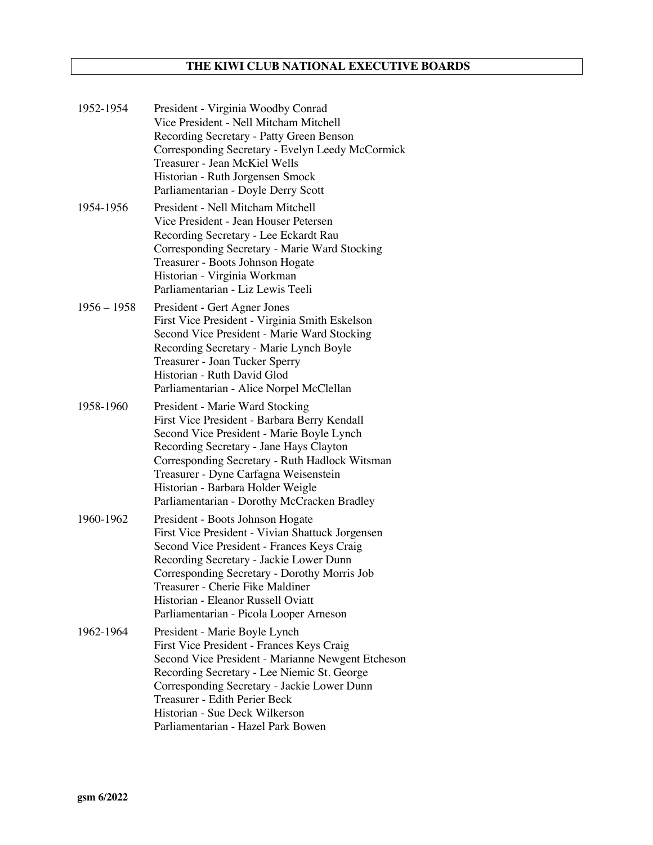# **THE KIWI CLUB NATIONAL EXECUTIVE BOARDS**

| 1952-1954     | President - Virginia Woodby Conrad<br>Vice President - Nell Mitcham Mitchell<br>Recording Secretary - Patty Green Benson<br>Corresponding Secretary - Evelyn Leedy McCormick<br>Treasurer - Jean McKiel Wells<br>Historian - Ruth Jorgensen Smock<br>Parliamentarian - Doyle Derry Scott                                                               |
|---------------|--------------------------------------------------------------------------------------------------------------------------------------------------------------------------------------------------------------------------------------------------------------------------------------------------------------------------------------------------------|
| 1954-1956     | President - Nell Mitcham Mitchell<br>Vice President - Jean Houser Petersen<br>Recording Secretary - Lee Eckardt Rau<br>Corresponding Secretary - Marie Ward Stocking<br>Treasurer - Boots Johnson Hogate<br>Historian - Virginia Workman<br>Parliamentarian - Liz Lewis Teeli                                                                          |
| $1956 - 1958$ | President - Gert Agner Jones<br>First Vice President - Virginia Smith Eskelson<br>Second Vice President - Marie Ward Stocking<br>Recording Secretary - Marie Lynch Boyle<br>Treasurer - Joan Tucker Sperry<br>Historian - Ruth David Glod<br>Parliamentarian - Alice Norpel McClellan                                                                  |
| 1958-1960     | President - Marie Ward Stocking<br>First Vice President - Barbara Berry Kendall<br>Second Vice President - Marie Boyle Lynch<br>Recording Secretary - Jane Hays Clayton<br>Corresponding Secretary - Ruth Hadlock Witsman<br>Treasurer - Dyne Carfagna Weisenstein<br>Historian - Barbara Holder Weigle<br>Parliamentarian - Dorothy McCracken Bradley |
| 1960-1962     | President - Boots Johnson Hogate<br>First Vice President - Vivian Shattuck Jorgensen<br>Second Vice President - Frances Keys Craig<br>Recording Secretary - Jackie Lower Dunn<br>Corresponding Secretary - Dorothy Morris Job<br>Treasurer - Cherie Fike Maldiner<br>Historian - Eleanor Russell Oviatt<br>Parliamentarian - Picola Looper Arneson     |
| 1962-1964     | President - Marie Boyle Lynch<br>First Vice President - Frances Keys Craig<br>Second Vice President - Marianne Newgent Etcheson<br>Recording Secretary - Lee Niemic St. George<br>Corresponding Secretary - Jackie Lower Dunn<br>Treasurer - Edith Perier Beck<br>Historian - Sue Deck Wilkerson<br>Parliamentarian - Hazel Park Bowen                 |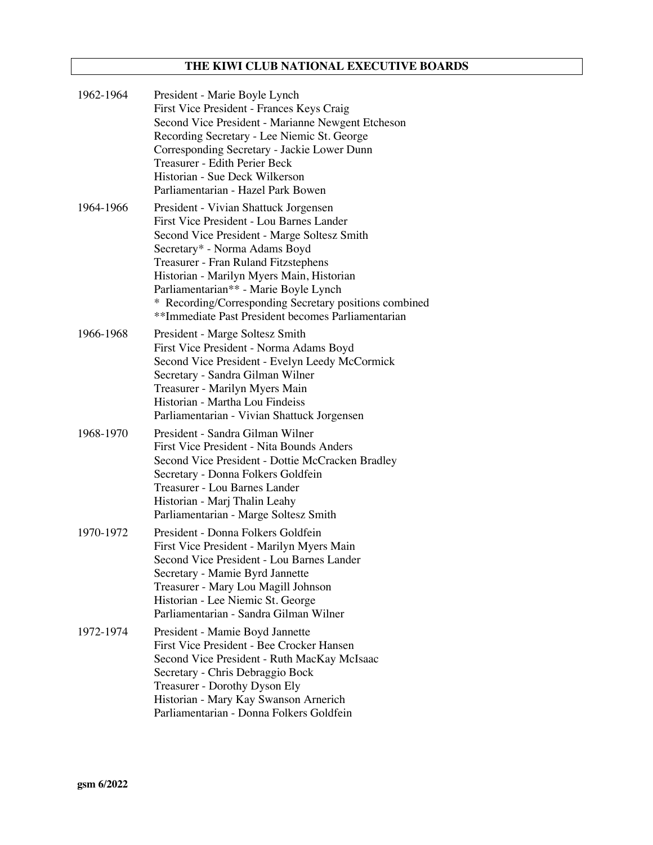# **THE KIWI CLUB NATIONAL EXECUTIVE BOARDS**

| 1962-1964 | President - Marie Boyle Lynch<br>First Vice President - Frances Keys Craig<br>Second Vice President - Marianne Newgent Etcheson<br>Recording Secretary - Lee Niemic St. George<br>Corresponding Secretary - Jackie Lower Dunn<br>Treasurer - Edith Perier Beck<br>Historian - Sue Deck Wilkerson<br>Parliamentarian - Hazel Park Bowen                                                                          |
|-----------|-----------------------------------------------------------------------------------------------------------------------------------------------------------------------------------------------------------------------------------------------------------------------------------------------------------------------------------------------------------------------------------------------------------------|
| 1964-1966 | President - Vivian Shattuck Jorgensen<br>First Vice President - Lou Barnes Lander<br>Second Vice President - Marge Soltesz Smith<br>Secretary* - Norma Adams Boyd<br>Treasurer - Fran Ruland Fitzstephens<br>Historian - Marilyn Myers Main, Historian<br>Parliamentarian** - Marie Boyle Lynch<br>* Recording/Corresponding Secretary positions combined<br>**Immediate Past President becomes Parliamentarian |
| 1966-1968 | President - Marge Soltesz Smith<br>First Vice President - Norma Adams Boyd<br>Second Vice President - Evelyn Leedy McCormick<br>Secretary - Sandra Gilman Wilner<br>Treasurer - Marilyn Myers Main<br>Historian - Martha Lou Findeiss<br>Parliamentarian - Vivian Shattuck Jorgensen                                                                                                                            |
| 1968-1970 | President - Sandra Gilman Wilner<br>First Vice President - Nita Bounds Anders<br>Second Vice President - Dottie McCracken Bradley<br>Secretary - Donna Folkers Goldfein<br>Treasurer - Lou Barnes Lander<br>Historian - Marj Thalin Leahy<br>Parliamentarian - Marge Soltesz Smith                                                                                                                              |
| 1970-1972 | President - Donna Folkers Goldfein<br>First Vice President - Marilyn Myers Main<br>Second Vice President - Lou Barnes Lander<br>Secretary - Mamie Byrd Jannette<br>Treasurer - Mary Lou Magill Johnson<br>Historian - Lee Niemic St. George<br>Parliamentarian - Sandra Gilman Wilner                                                                                                                           |
| 1972-1974 | President - Mamie Boyd Jannette<br>First Vice President - Bee Crocker Hansen<br>Second Vice President - Ruth MacKay McIsaac<br>Secretary - Chris Debraggio Bock<br>Treasurer - Dorothy Dyson Ely<br>Historian - Mary Kay Swanson Arnerich<br>Parliamentarian - Donna Folkers Goldfein                                                                                                                           |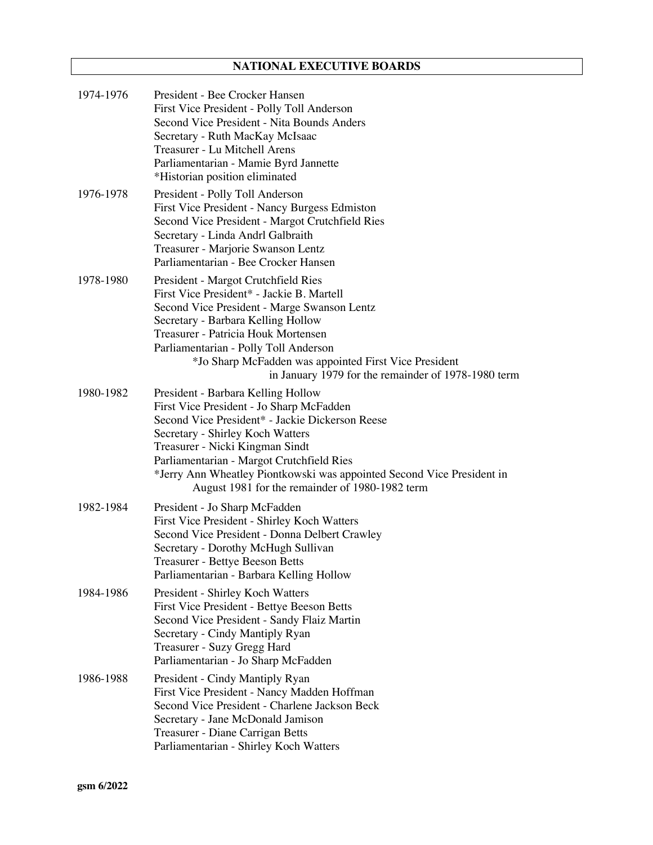# **NATIONAL EXECUTIVE BOARDS**

| 1974-1976 | President - Bee Crocker Hansen<br>First Vice President - Polly Toll Anderson<br>Second Vice President - Nita Bounds Anders<br>Secretary - Ruth MacKay McIsaac<br>Treasurer - Lu Mitchell Arens<br>Parliamentarian - Mamie Byrd Jannette<br>*Historian position eliminated                                                                                                          |
|-----------|------------------------------------------------------------------------------------------------------------------------------------------------------------------------------------------------------------------------------------------------------------------------------------------------------------------------------------------------------------------------------------|
| 1976-1978 | President - Polly Toll Anderson<br>First Vice President - Nancy Burgess Edmiston<br>Second Vice President - Margot Crutchfield Ries<br>Secretary - Linda Andrl Galbraith<br>Treasurer - Marjorie Swanson Lentz<br>Parliamentarian - Bee Crocker Hansen                                                                                                                             |
| 1978-1980 | President - Margot Crutchfield Ries<br>First Vice President* - Jackie B. Martell<br>Second Vice President - Marge Swanson Lentz<br>Secretary - Barbara Kelling Hollow<br>Treasurer - Patricia Houk Mortensen<br>Parliamentarian - Polly Toll Anderson<br>*Jo Sharp McFadden was appointed First Vice President<br>in January 1979 for the remainder of 1978-1980 term              |
| 1980-1982 | President - Barbara Kelling Hollow<br>First Vice President - Jo Sharp McFadden<br>Second Vice President* - Jackie Dickerson Reese<br>Secretary - Shirley Koch Watters<br>Treasurer - Nicki Kingman Sindt<br>Parliamentarian - Margot Crutchfield Ries<br>*Jerry Ann Wheatley Piontkowski was appointed Second Vice President in<br>August 1981 for the remainder of 1980-1982 term |
| 1982-1984 | President - Jo Sharp McFadden<br>First Vice President - Shirley Koch Watters<br>Second Vice President - Donna Delbert Crawley<br>Secretary - Dorothy McHugh Sullivan<br>Treasurer - Bettye Beeson Betts<br>Parliamentarian - Barbara Kelling Hollow                                                                                                                                |
| 1984-1986 | President - Shirley Koch Watters<br>First Vice President - Bettye Beeson Betts<br>Second Vice President - Sandy Flaiz Martin<br>Secretary - Cindy Mantiply Ryan<br>Treasurer - Suzy Gregg Hard<br>Parliamentarian - Jo Sharp McFadden                                                                                                                                              |
| 1986-1988 | President - Cindy Mantiply Ryan<br>First Vice President - Nancy Madden Hoffman<br>Second Vice President - Charlene Jackson Beck<br>Secretary - Jane McDonald Jamison<br>Treasurer - Diane Carrigan Betts<br>Parliamentarian - Shirley Koch Watters                                                                                                                                 |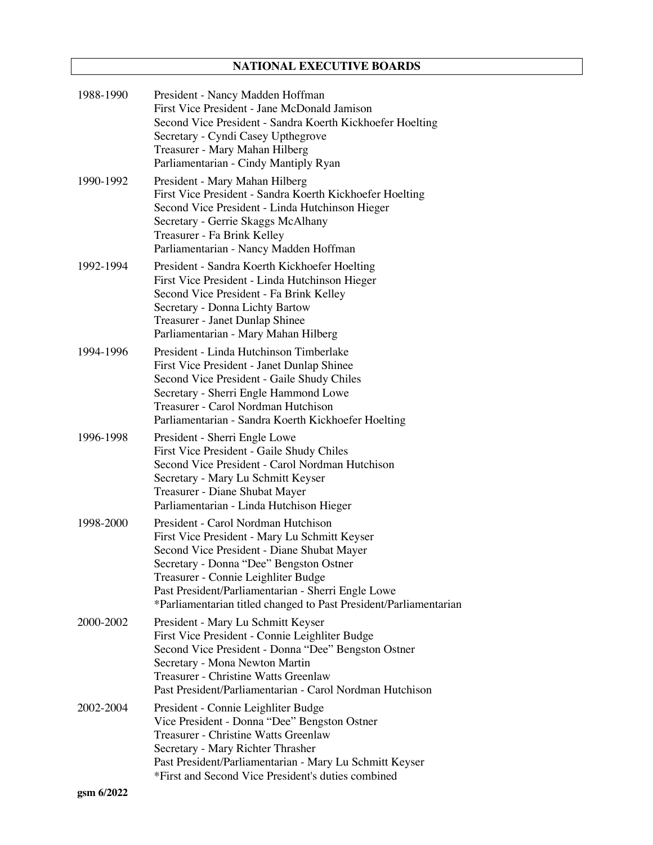# **NATIONAL EXECUTIVE BOARDS**

| 1988-1990 | President - Nancy Madden Hoffman<br>First Vice President - Jane McDonald Jamison<br>Second Vice President - Sandra Koerth Kickhoefer Hoelting<br>Secretary - Cyndi Casey Upthegrove<br>Treasurer - Mary Mahan Hilberg<br>Parliamentarian - Cindy Mantiply Ryan                                                                                  |
|-----------|-------------------------------------------------------------------------------------------------------------------------------------------------------------------------------------------------------------------------------------------------------------------------------------------------------------------------------------------------|
| 1990-1992 | President - Mary Mahan Hilberg<br>First Vice President - Sandra Koerth Kickhoefer Hoelting<br>Second Vice President - Linda Hutchinson Hieger<br>Secretary - Gerrie Skaggs McAlhany<br>Treasurer - Fa Brink Kelley<br>Parliamentarian - Nancy Madden Hoffman                                                                                    |
| 1992-1994 | President - Sandra Koerth Kickhoefer Hoelting<br>First Vice President - Linda Hutchinson Hieger<br>Second Vice President - Fa Brink Kelley<br>Secretary - Donna Lichty Bartow<br>Treasurer - Janet Dunlap Shinee<br>Parliamentarian - Mary Mahan Hilberg                                                                                        |
| 1994-1996 | President - Linda Hutchinson Timberlake<br>First Vice President - Janet Dunlap Shinee<br>Second Vice President - Gaile Shudy Chiles<br>Secretary - Sherri Engle Hammond Lowe<br>Treasurer - Carol Nordman Hutchison<br>Parliamentarian - Sandra Koerth Kickhoefer Hoelting                                                                      |
| 1996-1998 | President - Sherri Engle Lowe<br>First Vice President - Gaile Shudy Chiles<br>Second Vice President - Carol Nordman Hutchison<br>Secretary - Mary Lu Schmitt Keyser<br>Treasurer - Diane Shubat Mayer<br>Parliamentarian - Linda Hutchison Hieger                                                                                               |
| 1998-2000 | President - Carol Nordman Hutchison<br>First Vice President - Mary Lu Schmitt Keyser<br>Second Vice President - Diane Shubat Mayer<br>Secretary - Donna "Dee" Bengston Ostner<br>Treasurer - Connie Leighliter Budge<br>Past President/Parliamentarian - Sherri Engle Lowe<br>*Parliamentarian titled changed to Past President/Parliamentarian |
| 2000-2002 | President - Mary Lu Schmitt Keyser<br>First Vice President - Connie Leighliter Budge<br>Second Vice President - Donna "Dee" Bengston Ostner<br>Secretary - Mona Newton Martin<br><b>Treasurer - Christine Watts Greenlaw</b><br>Past President/Parliamentarian - Carol Nordman Hutchison                                                        |
| 2002-2004 | President - Connie Leighliter Budge<br>Vice President - Donna "Dee" Bengston Ostner<br><b>Treasurer - Christine Watts Greenlaw</b><br>Secretary - Mary Richter Thrasher<br>Past President/Parliamentarian - Mary Lu Schmitt Keyser<br>*First and Second Vice President's duties combined                                                        |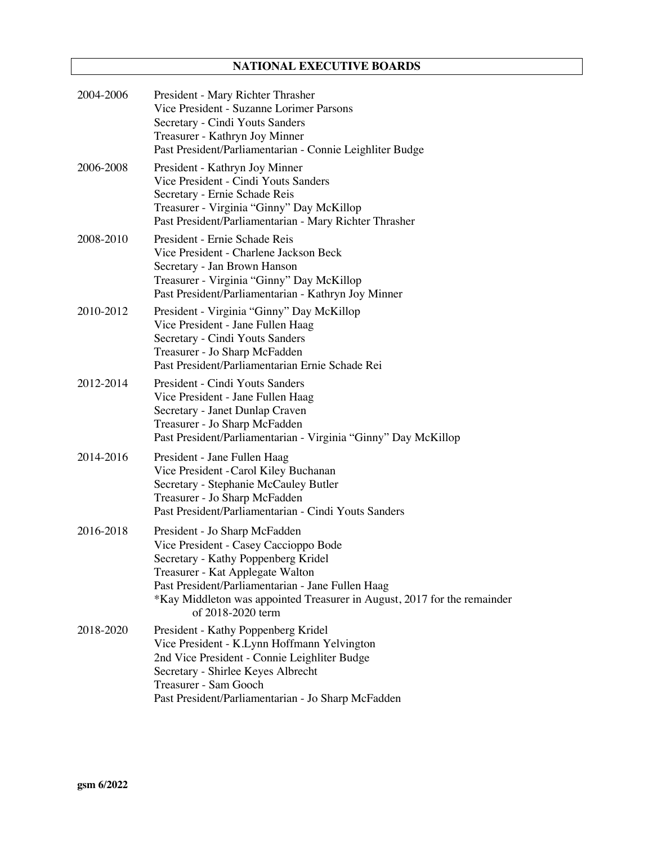# **NATIONAL EXECUTIVE BOARDS**

| 2004-2006 | President - Mary Richter Thrasher<br>Vice President - Suzanne Lorimer Parsons<br>Secretary - Cindi Youts Sanders<br>Treasurer - Kathryn Joy Minner<br>Past President/Parliamentarian - Connie Leighliter Budge                                                                                          |
|-----------|---------------------------------------------------------------------------------------------------------------------------------------------------------------------------------------------------------------------------------------------------------------------------------------------------------|
| 2006-2008 | President - Kathryn Joy Minner<br>Vice President - Cindi Youts Sanders<br>Secretary - Ernie Schade Reis<br>Treasurer - Virginia "Ginny" Day McKillop<br>Past President/Parliamentarian - Mary Richter Thrasher                                                                                          |
| 2008-2010 | President - Ernie Schade Reis<br>Vice President - Charlene Jackson Beck<br>Secretary - Jan Brown Hanson<br>Treasurer - Virginia "Ginny" Day McKillop<br>Past President/Parliamentarian - Kathryn Joy Minner                                                                                             |
| 2010-2012 | President - Virginia "Ginny" Day McKillop<br>Vice President - Jane Fullen Haag<br>Secretary - Cindi Youts Sanders<br>Treasurer - Jo Sharp McFadden<br>Past President/Parliamentarian Ernie Schade Rei                                                                                                   |
| 2012-2014 | President - Cindi Youts Sanders<br>Vice President - Jane Fullen Haag<br>Secretary - Janet Dunlap Craven<br>Treasurer - Jo Sharp McFadden<br>Past President/Parliamentarian - Virginia "Ginny" Day McKillop                                                                                              |
| 2014-2016 | President - Jane Fullen Haag<br>Vice President - Carol Kiley Buchanan<br>Secretary - Stephanie McCauley Butler<br>Treasurer - Jo Sharp McFadden<br>Past President/Parliamentarian - Cindi Youts Sanders                                                                                                 |
| 2016-2018 | President - Jo Sharp McFadden<br>Vice President - Casey Caccioppo Bode<br>Secretary - Kathy Poppenberg Kridel<br>Treasurer - Kat Applegate Walton<br>Past President/Parliamentarian - Jane Fullen Haag<br>*Kay Middleton was appointed Treasurer in August, 2017 for the remainder<br>of 2018-2020 term |
| 2018-2020 | President - Kathy Poppenberg Kridel<br>Vice President - K.Lynn Hoffmann Yelvington<br>2nd Vice President - Connie Leighliter Budge<br>Secretary - Shirlee Keyes Albrecht<br>Treasurer - Sam Gooch<br>Past President/Parliamentarian - Jo Sharp McFadden                                                 |